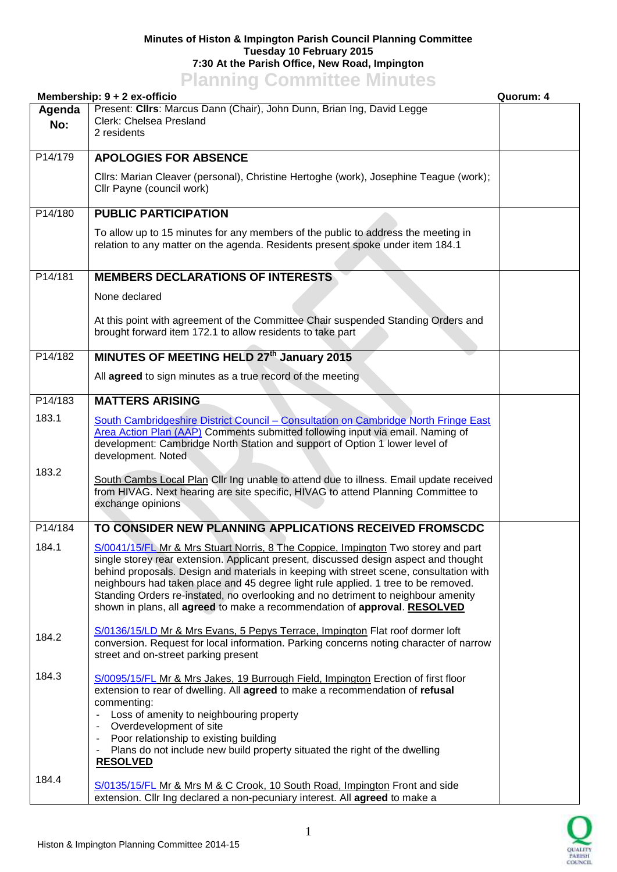## **Minutes of Histon & Impington Parish Council Planning Committee Tuesday 10 February 2015 7:30 At the Parish Office, New Road, Impington Planning Committee Minutes**

|               | <u><b>TRIBUTS COMMITTEE</b>S MILLIONS</u><br>Membership: $9 + 2$ ex-officio                                                                                                                                                                                                                                                                                                                                                                                                                                                 | Quorum: 4 |
|---------------|-----------------------------------------------------------------------------------------------------------------------------------------------------------------------------------------------------------------------------------------------------------------------------------------------------------------------------------------------------------------------------------------------------------------------------------------------------------------------------------------------------------------------------|-----------|
| Agenda<br>No: | Present: Clirs: Marcus Dann (Chair), John Dunn, Brian Ing, David Legge<br>Clerk: Chelsea Presland<br>2 residents                                                                                                                                                                                                                                                                                                                                                                                                            |           |
| P14/179       | <b>APOLOGIES FOR ABSENCE</b>                                                                                                                                                                                                                                                                                                                                                                                                                                                                                                |           |
|               | Cllrs: Marian Cleaver (personal), Christine Hertoghe (work), Josephine Teague (work);<br>Cllr Payne (council work)                                                                                                                                                                                                                                                                                                                                                                                                          |           |
| P14/180       | <b>PUBLIC PARTICIPATION</b>                                                                                                                                                                                                                                                                                                                                                                                                                                                                                                 |           |
|               | To allow up to 15 minutes for any members of the public to address the meeting in<br>relation to any matter on the agenda. Residents present spoke under item 184.1                                                                                                                                                                                                                                                                                                                                                         |           |
| P14/181       | <b>MEMBERS DECLARATIONS OF INTERESTS</b>                                                                                                                                                                                                                                                                                                                                                                                                                                                                                    |           |
|               | None declared                                                                                                                                                                                                                                                                                                                                                                                                                                                                                                               |           |
|               | At this point with agreement of the Committee Chair suspended Standing Orders and<br>brought forward item 172.1 to allow residents to take part                                                                                                                                                                                                                                                                                                                                                                             |           |
| P14/182       | MINUTES OF MEETING HELD 27th January 2015                                                                                                                                                                                                                                                                                                                                                                                                                                                                                   |           |
|               | All agreed to sign minutes as a true record of the meeting                                                                                                                                                                                                                                                                                                                                                                                                                                                                  |           |
| P14/183       | <b>MATTERS ARISING</b>                                                                                                                                                                                                                                                                                                                                                                                                                                                                                                      |           |
| 183.1         | South Cambridgeshire District Council - Consultation on Cambridge North Fringe East<br>Area Action Plan (AAP) Comments submitted following input via email. Naming of<br>development: Cambridge North Station and support of Option 1 lower level of<br>development. Noted                                                                                                                                                                                                                                                  |           |
| 183.2         | South Cambs Local Plan Cllr Ing unable to attend due to illness. Email update received<br>from HIVAG. Next hearing are site specific, HIVAG to attend Planning Committee to<br>exchange opinions                                                                                                                                                                                                                                                                                                                            |           |
| P14/184       | TO CONSIDER NEW PLANNING APPLICATIONS RECEIVED FROMSCDC                                                                                                                                                                                                                                                                                                                                                                                                                                                                     |           |
| 184.1         | S/0041/15/FL Mr & Mrs Stuart Norris, 8 The Coppice, Impington Two storey and part<br>single storey rear extension. Applicant present, discussed design aspect and thought<br>behind proposals. Design and materials in keeping with street scene, consultation with<br>neighbours had taken place and 45 degree light rule applied. 1 tree to be removed.<br>Standing Orders re-instated, no overlooking and no detriment to neighbour amenity<br>shown in plans, all agreed to make a recommendation of approval. RESOLVED |           |
| 184.2         | S/0136/15/LD Mr & Mrs Evans, 5 Pepys Terrace, Impington Flat roof dormer loft<br>conversion. Request for local information. Parking concerns noting character of narrow<br>street and on-street parking present                                                                                                                                                                                                                                                                                                             |           |
| 184.3         | S/0095/15/FL Mr & Mrs Jakes, 19 Burrough Field, Impington Erection of first floor<br>extension to rear of dwelling. All agreed to make a recommendation of refusal<br>commenting:<br>Loss of amenity to neighbouring property<br>Overdevelopment of site<br>$\overline{\phantom{a}}$<br>Poor relationship to existing building<br>$\blacksquare$<br>Plans do not include new build property situated the right of the dwelling<br>$\blacksquare$<br><b>RESOLVED</b>                                                         |           |
| 184.4         | S/0135/15/FL Mr & Mrs M & C Crook, 10 South Road, Impington Front and side<br>extension. Cllr Ing declared a non-pecuniary interest. All agreed to make a                                                                                                                                                                                                                                                                                                                                                                   |           |